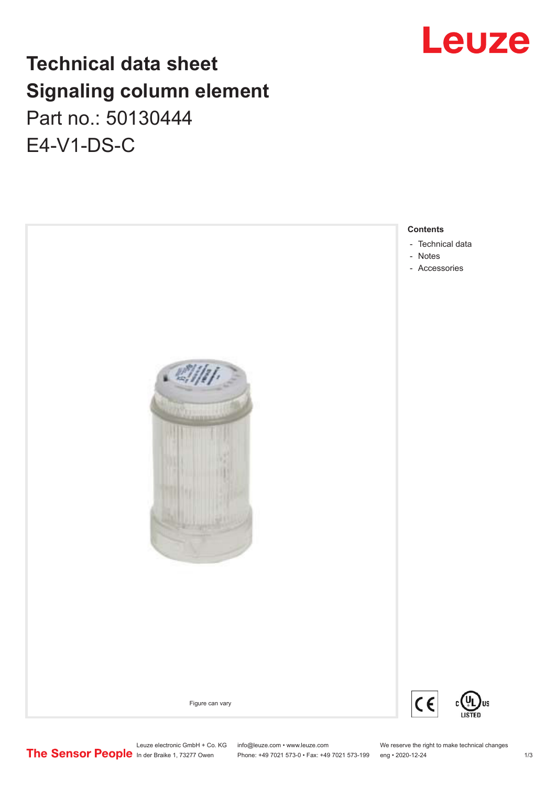# Leuze

# **Technical data sheet Signaling column element** Part no.: 50130444 E4-V1-DS-C



Leuze electronic GmbH + Co. KG info@leuze.com • www.leuze.com We reserve the right to make technical changes<br> **The Sensor People** in der Braike 1, 73277 Owen Phone: +49 7021 573-1 +49 7021 573-199 eng • 2020-12-24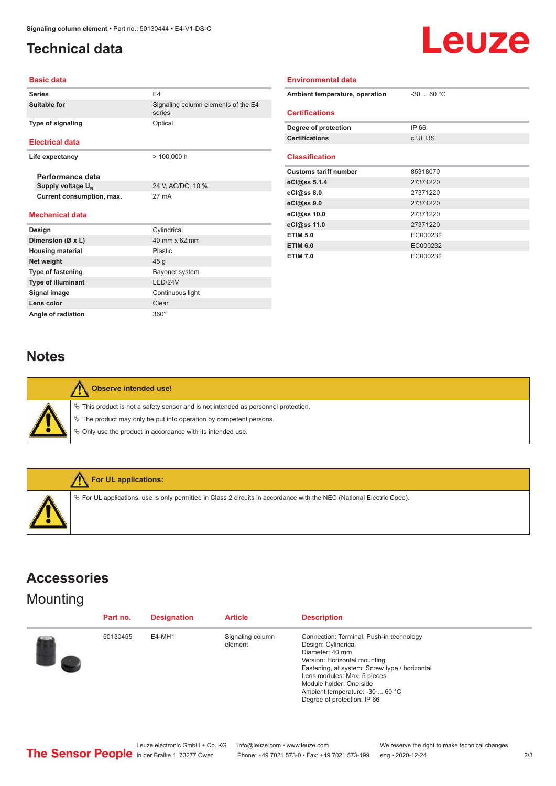## <span id="page-1-0"></span>**Technical data**



#### **Basic data**

| <b>Series</b>                 | F4                                            |  |  |
|-------------------------------|-----------------------------------------------|--|--|
| Suitable for                  | Signaling column elements of the E4<br>series |  |  |
| <b>Type of signaling</b>      | Optical                                       |  |  |
| <b>Electrical data</b>        |                                               |  |  |
| Life expectancy               | $> 100,000$ h                                 |  |  |
| Performance data              |                                               |  |  |
| Supply voltage U <sub>R</sub> | 24 V, AC/DC, 10 %                             |  |  |
| Current consumption, max.     | 27 mA                                         |  |  |
| <b>Mechanical data</b>        |                                               |  |  |
| Design                        | Cylindrical                                   |  |  |
| Dimension (Ø x L)             | 40 mm x 62 mm                                 |  |  |
| <b>Housing material</b>       | Plastic                                       |  |  |
| Net weight                    | 45 <sub>g</sub>                               |  |  |
| <b>Type of fastening</b>      | Bayonet system                                |  |  |
| <b>Type of illuminant</b>     | <b>I FD/24V</b>                               |  |  |
| Signal image                  | Continuous light                              |  |  |
| Lens color                    | Clear                                         |  |  |

| <b>Environmental data</b>      |            |  |  |  |  |  |
|--------------------------------|------------|--|--|--|--|--|
| Ambient temperature, operation | $-3060 °C$ |  |  |  |  |  |
| <b>Certifications</b>          |            |  |  |  |  |  |
| Degree of protection           | IP 66      |  |  |  |  |  |
| <b>Certifications</b>          | c UL US    |  |  |  |  |  |
| <b>Classification</b>          |            |  |  |  |  |  |
| <b>Customs tariff number</b>   | 85318070   |  |  |  |  |  |
| eCl@ss 5.1.4                   | 27371220   |  |  |  |  |  |
| $eC/\omega$ ss 8.0             | 27371220   |  |  |  |  |  |
| eCl@ss 9.0                     | 27371220   |  |  |  |  |  |
| eCl@ss 10.0                    | 27371220   |  |  |  |  |  |
| eCl@ss 11.0                    | 27371220   |  |  |  |  |  |
| <b>ETIM 5.0</b>                | EC000232   |  |  |  |  |  |
| <b>ETIM 6.0</b>                | EC000232   |  |  |  |  |  |
| <b>ETIM 7.0</b>                | EC000232   |  |  |  |  |  |

#### **Notes**

Angle of radiation 360°

| Observe intended use!                                                                                                                                                                                                         |
|-------------------------------------------------------------------------------------------------------------------------------------------------------------------------------------------------------------------------------|
| $\%$ This product is not a safety sensor and is not intended as personnel protection.<br>$\%$ The product may only be put into operation by competent persons.<br>₿ Only use the product in accordance with its intended use. |



### **Accessories**

### **Mounting**

| Part no. | <b>Designation</b> | <b>Article</b>              | <b>Description</b>                                                                                                                                                                                                                                                                              |
|----------|--------------------|-----------------------------|-------------------------------------------------------------------------------------------------------------------------------------------------------------------------------------------------------------------------------------------------------------------------------------------------|
| 50130455 | E4-MH1             | Signaling column<br>element | Connection: Terminal, Push-in technology<br>Design: Cylindrical<br>Diameter: 40 mm<br>Version: Horizontal mounting<br>Fastening, at system: Screw type / horizontal<br>Lens modules: Max. 5 pieces<br>Module holder: One side<br>Ambient temperature: -30  60 °C<br>Degree of protection: IP 66 |